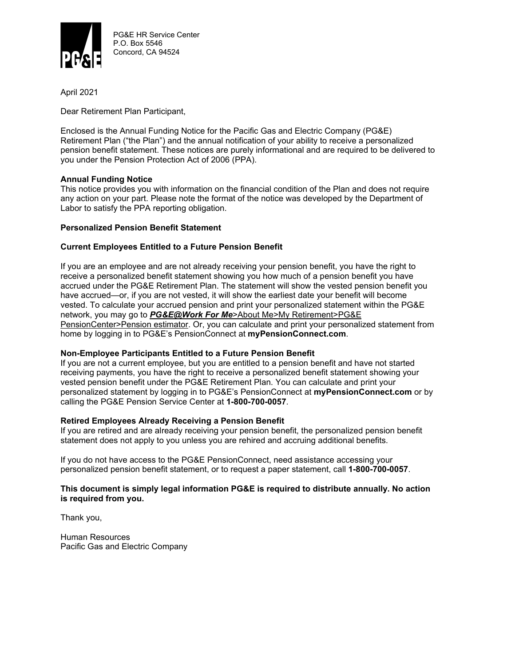

PG&E HR Service Center P.O. Box 5546 Concord, CA 94524

April 2021

Dear Retirement Plan Participant,

Enclosed is the Annual Funding Notice for the Pacific Gas and Electric Company (PG&E) Retirement Plan ("the Plan") and the annual notification of your ability to receive a personalized pension benefit statement. These notices are purely informational and are required to be delivered to you under the Pension Protection Act of 2006 (PPA).

## **Annual Funding Notice**

This notice provides you with information on the financial condition of the Plan and does not require any action on your part. Please note the format of the notice was developed by the Department of Labor to satisfy the PPA reporting obligation.

# **Personalized Pension Benefit Statement**

# **Current Employees Entitled to a Future Pension Benefit**

If you are an employee and are not already receiving your pension benefit, you have the right to receive a personalized benefit statement showing you how much of a pension benefit you have accrued under the PG&E Retirement Plan. The statement will show the vested pension benefit you have accrued—or, if you are not vested, it will show the earliest date your benefit will become vested. To calculate your accrued pension and print your personalized statement within the PG&E network, you may go to *PG&E@Work For Me*>About Me>My Retirement>PG&E PensionCenter>Pension estimator. Or, you can calculate and print your personalized statement from home by logging in to PG&E's PensionConnect at **myPensionConnect.com**.

### **Non-Employee Participants Entitled to a Future Pension Benefit**

If you are not a current employee, but you are entitled to a pension benefit and have not started receiving payments, you have the right to receive a personalized benefit statement showing your vested pension benefit under the PG&E Retirement Plan. You can calculate and print your personalized statement by logging in to PG&E's PensionConnect at **myPensionConnect.com** or by calling the PG&E Pension Service Center at **1-800-700-0057**.

### **Retired Employees Already Receiving a Pension Benefit**

If you are retired and are already receiving your pension benefit, the personalized pension benefit statement does not apply to you unless you are rehired and accruing additional benefits.

If you do not have access to the PG&E PensionConnect, need assistance accessing your personalized pension benefit statement, or to request a paper statement, call **1-800-700-0057**.

### **This document is simply legal information PG&E is required to distribute annually. No action is required from you.**

Thank you,

Human Resources Pacific Gas and Electric Company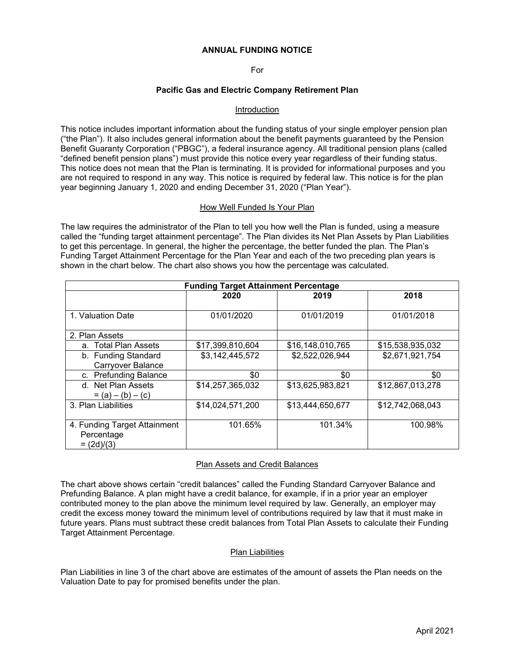#### **ANNUAL FUNDING NOTICE**

For

### **Pacific Gas and Electric Company Retirement Plan**

### Introduction

This notice includes important information about the funding status of your single employer pension plan ("the Plan"). It also includes general information about the benefit payments guaranteed by the Pension Benefit Guaranty Corporation ("PBGC"), a federal insurance agency. All traditional pension plans (called "defined benefit pension plans") must provide this notice every year regardless of their funding status. This notice does not mean that the Plan is terminating. It is provided for informational purposes and you are not required to respond in any way. This notice is required by federal law. This notice is for the plan year beginning January 1, 2020 and ending December 31, 2020 ("Plan Year").

#### How Well Funded Is Your Plan

The law requires the administrator of the Plan to tell you how well the Plan is funded, using a measure called the "funding target attainment percentage". The Plan divides its Net Plan Assets by Plan Liabilities to get this percentage. In general, the higher the percentage, the better funded the plan. The Plan's Funding Target Attainment Percentage for the Plan Year and each of the two preceding plan years is shown in the chart below. The chart also shows you how the percentage was calculated.

| <b>Funding Target Attainment Percentage</b>                |                  |                  |                  |  |  |  |  |  |
|------------------------------------------------------------|------------------|------------------|------------------|--|--|--|--|--|
|                                                            | 2020             | 2019             | 2018             |  |  |  |  |  |
| 1. Valuation Date                                          | 01/01/2020       | 01/01/2019       | 01/01/2018       |  |  |  |  |  |
| 2. Plan Assets                                             |                  |                  |                  |  |  |  |  |  |
| a. Total Plan Assets                                       | \$17,399,810,604 | \$16,148,010,765 | \$15,538,935,032 |  |  |  |  |  |
| b. Funding Standard<br><b>Carryover Balance</b>            | \$3,142,445,572  | \$2,522,026,944  | \$2,671,921,754  |  |  |  |  |  |
| c. Prefunding Balance                                      | \$0              | \$0              | \$0              |  |  |  |  |  |
| d. Net Plan Assets<br>$= (a) - (b) - (c)$                  | \$14,257,365,032 | \$13,625,983,821 | \$12,867,013,278 |  |  |  |  |  |
| 3. Plan Liabilities                                        | \$14,024,571,200 | \$13,444,650,677 | \$12,742,068,043 |  |  |  |  |  |
| 4. Funding Target Attainment<br>Percentage<br>$= (2d)/(3)$ | 101.65%          | 101.34%          | 100.98%          |  |  |  |  |  |

### Plan Assets and Credit Balances

The chart above shows certain "credit balances" called the Funding Standard Carryover Balance and Prefunding Balance. A plan might have a credit balance, for example, if in a prior year an employer contributed money to the plan above the minimum level required by law. Generally, an employer may credit the excess money toward the minimum level of contributions required by law that it must make in future years. Plans must subtract these credit balances from Total Plan Assets to calculate their Funding Target Attainment Percentage.

### Plan Liabilities

Plan Liabilities in line 3 of the chart above are estimates of the amount of assets the Plan needs on the Valuation Date to pay for promised benefits under the plan.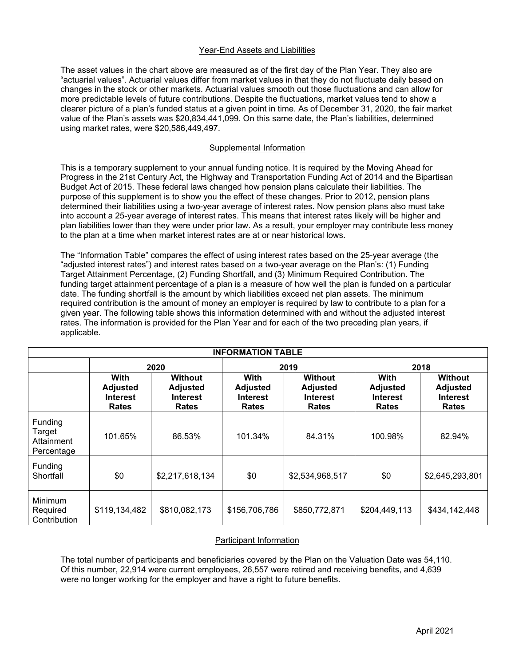## Year-End Assets and Liabilities

The asset values in the chart above are measured as of the first day of the Plan Year. They also are "actuarial values". Actuarial values differ from market values in that they do not fluctuate daily based on changes in the stock or other markets. Actuarial values smooth out those fluctuations and can allow for more predictable levels of future contributions. Despite the fluctuations, market values tend to show a clearer picture of a plan's funded status at a given point in time. As of December 31, 2020, the fair market value of the Plan's assets was \$20,834,441,099. On this same date, the Plan's liabilities, determined using market rates, were \$20,586,449,497.

## Supplemental Information

This is a temporary supplement to your annual funding notice. It is required by the Moving Ahead for Progress in the 21st Century Act, the Highway and Transportation Funding Act of 2014 and the Bipartisan Budget Act of 2015. These federal laws changed how pension plans calculate their liabilities. The purpose of this supplement is to show you the effect of these changes. Prior to 2012, pension plans determined their liabilities using a two-year average of interest rates. Now pension plans also must take into account a 25-year average of interest rates. This means that interest rates likely will be higher and plan liabilities lower than they were under prior law. As a result, your employer may contribute less money to the plan at a time when market interest rates are at or near historical lows.

The "Information Table" compares the effect of using interest rates based on the 25-year average (the "adjusted interest rates") and interest rates based on a two-year average on the Plan's: (1) Funding Target Attainment Percentage, (2) Funding Shortfall, and (3) Minimum Required Contribution. The funding target attainment percentage of a plan is a measure of how well the plan is funded on a particular date. The funding shortfall is the amount by which liabilities exceed net plan assets. The minimum required contribution is the amount of money an employer is required by law to contribute to a plan for a given year. The following table shows this information determined with and without the adjusted interest rates. The information is provided for the Plan Year and for each of the two preceding plan years, if applicable.

| <b>INFORMATION TABLE</b>                      |                                                            |                                                                      |                                                            |                                                                      |                                                            |                                                                      |  |  |
|-----------------------------------------------|------------------------------------------------------------|----------------------------------------------------------------------|------------------------------------------------------------|----------------------------------------------------------------------|------------------------------------------------------------|----------------------------------------------------------------------|--|--|
|                                               | 2020                                                       |                                                                      | 2019                                                       |                                                                      | 2018                                                       |                                                                      |  |  |
|                                               | With<br><b>Adjusted</b><br><b>Interest</b><br><b>Rates</b> | <b>Without</b><br><b>Adjusted</b><br><b>Interest</b><br><b>Rates</b> | With<br><b>Adjusted</b><br><b>Interest</b><br><b>Rates</b> | <b>Without</b><br><b>Adjusted</b><br><b>Interest</b><br><b>Rates</b> | With<br><b>Adjusted</b><br><b>Interest</b><br><b>Rates</b> | <b>Without</b><br><b>Adjusted</b><br><b>Interest</b><br><b>Rates</b> |  |  |
| Funding<br>Target<br>Attainment<br>Percentage | 101.65%                                                    | 86.53%                                                               | 101.34%                                                    | 84.31%                                                               | 100.98%                                                    | 82.94%                                                               |  |  |
| Funding<br>Shortfall                          | \$0                                                        | \$2,217,618,134                                                      | \$0                                                        | \$2,534,968,517                                                      | \$0                                                        | \$2,645,293,801                                                      |  |  |
| Minimum<br>Required<br>Contribution           | \$119,134,482                                              | \$810,082,173                                                        | \$156,706,786                                              | \$850,772,871                                                        | \$204,449,113                                              | \$434,142,448                                                        |  |  |

### Participant Information

The total number of participants and beneficiaries covered by the Plan on the Valuation Date was 54,110. Of this number, 22,914 were current employees, 26,557 were retired and receiving benefits, and 4,639 were no longer working for the employer and have a right to future benefits.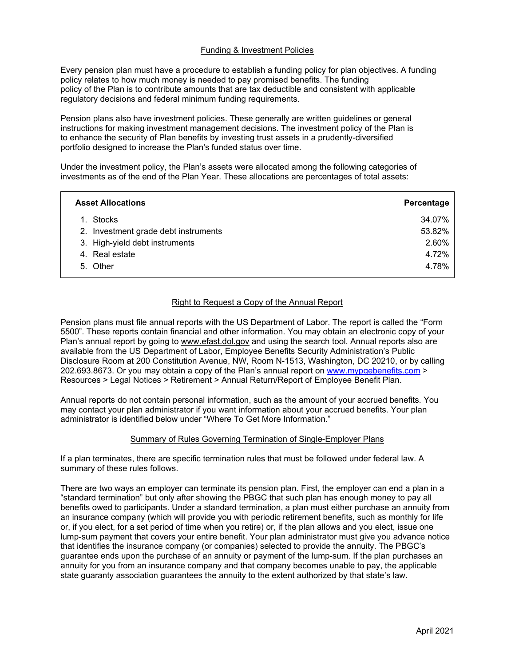## Funding & Investment Policies

Every pension plan must have a procedure to establish a funding policy for plan objectives. A funding policy relates to how much money is needed to pay promised benefits. The funding policy of the Plan is to contribute amounts that are tax deductible and consistent with applicable regulatory decisions and federal minimum funding requirements.

Pension plans also have investment policies. These generally are written guidelines or general instructions for making investment management decisions. The investment policy of the Plan is to enhance the security of Plan benefits by investing trust assets in a prudently-diversified portfolio designed to increase the Plan's funded status over time.

Under the investment policy, the Plan's assets were allocated among the following categories of investments as of the end of the Plan Year. These allocations are percentages of total assets:

| <b>Asset Allocations</b>             | Percentage |
|--------------------------------------|------------|
| 1. Stocks                            | 34.07%     |
| 2. Investment grade debt instruments | 53.82%     |
| 3. High-yield debt instruments       | 2.60%      |
| 4. Real estate                       | 4.72%      |
| 5. Other                             | 4.78%      |

## Right to Request a Copy of the Annual Report

Pension plans must file annual reports with the US Department of Labor. The report is called the "Form 5500". These reports contain financial and other information. You may obtain an electronic copy of your Plan's annual report by going to www.efast.dol.gov and using the search tool. Annual reports also are available from the US Department of Labor, Employee Benefits Security Administration's Public Disclosure Room at 200 Constitution Avenue, NW, Room N-1513, Washington, DC 20210, or by calling 202.693.8673. Or you may obtain a copy of the Plan's annual report on www.mypgebenefits.com > Resources > Legal Notices > Retirement > Annual Return/Report of Employee Benefit Plan.

Annual reports do not contain personal information, such as the amount of your accrued benefits. You may contact your plan administrator if you want information about your accrued benefits. Your plan administrator is identified below under "Where To Get More Information."

### Summary of Rules Governing Termination of Single-Employer Plans

If a plan terminates, there are specific termination rules that must be followed under federal law. A summary of these rules follows.

There are two ways an employer can terminate its pension plan. First, the employer can end a plan in a "standard termination" but only after showing the PBGC that such plan has enough money to pay all benefits owed to participants. Under a standard termination, a plan must either purchase an annuity from an insurance company (which will provide you with periodic retirement benefits, such as monthly for life or, if you elect, for a set period of time when you retire) or, if the plan allows and you elect, issue one lump-sum payment that covers your entire benefit. Your plan administrator must give you advance notice that identifies the insurance company (or companies) selected to provide the annuity. The PBGC's guarantee ends upon the purchase of an annuity or payment of the lump-sum. If the plan purchases an annuity for you from an insurance company and that company becomes unable to pay, the applicable state guaranty association guarantees the annuity to the extent authorized by that state's law.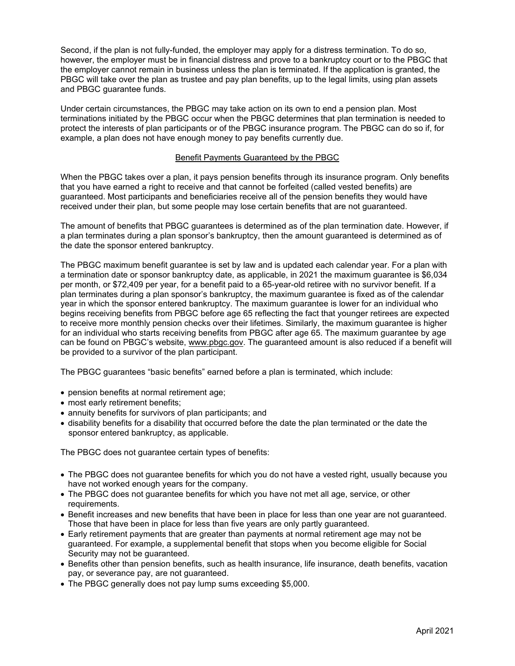Second, if the plan is not fully-funded, the employer may apply for a distress termination. To do so, however, the employer must be in financial distress and prove to a bankruptcy court or to the PBGC that the employer cannot remain in business unless the plan is terminated. If the application is granted, the PBGC will take over the plan as trustee and pay plan benefits, up to the legal limits, using plan assets and PBGC guarantee funds.

Under certain circumstances, the PBGC may take action on its own to end a pension plan. Most terminations initiated by the PBGC occur when the PBGC determines that plan termination is needed to protect the interests of plan participants or of the PBGC insurance program. The PBGC can do so if, for example, a plan does not have enough money to pay benefits currently due.

## Benefit Payments Guaranteed by the PBGC

When the PBGC takes over a plan, it pays pension benefits through its insurance program. Only benefits that you have earned a right to receive and that cannot be forfeited (called vested benefits) are guaranteed. Most participants and beneficiaries receive all of the pension benefits they would have received under their plan, but some people may lose certain benefits that are not guaranteed.

The amount of benefits that PBGC guarantees is determined as of the plan termination date. However, if a plan terminates during a plan sponsor's bankruptcy, then the amount guaranteed is determined as of the date the sponsor entered bankruptcy.

The PBGC maximum benefit guarantee is set by law and is updated each calendar year. For a plan with a termination date or sponsor bankruptcy date, as applicable, in 2021 the maximum guarantee is \$6,034 per month, or \$72,409 per year, for a benefit paid to a 65-year-old retiree with no survivor benefit. If a plan terminates during a plan sponsor's bankruptcy, the maximum guarantee is fixed as of the calendar year in which the sponsor entered bankruptcy. The maximum guarantee is lower for an individual who begins receiving benefits from PBGC before age 65 reflecting the fact that younger retirees are expected to receive more monthly pension checks over their lifetimes. Similarly, the maximum guarantee is higher for an individual who starts receiving benefits from PBGC after age 65. The maximum guarantee by age can be found on PBGC's website, www.pbgc.gov. The guaranteed amount is also reduced if a benefit will be provided to a survivor of the plan participant.

The PBGC guarantees "basic benefits" earned before a plan is terminated, which include:

- pension benefits at normal retirement age;
- most early retirement benefits;
- annuity benefits for survivors of plan participants; and
- disability benefits for a disability that occurred before the date the plan terminated or the date the sponsor entered bankruptcy, as applicable.

The PBGC does not guarantee certain types of benefits:

- The PBGC does not guarantee benefits for which you do not have a vested right, usually because you have not worked enough years for the company.
- The PBGC does not guarantee benefits for which you have not met all age, service, or other requirements.
- Benefit increases and new benefits that have been in place for less than one year are not guaranteed. Those that have been in place for less than five years are only partly guaranteed.
- Early retirement payments that are greater than payments at normal retirement age may not be guaranteed. For example, a supplemental benefit that stops when you become eligible for Social Security may not be guaranteed.
- Benefits other than pension benefits, such as health insurance, life insurance, death benefits, vacation pay, or severance pay, are not guaranteed.
- The PBGC generally does not pay lump sums exceeding \$5,000.